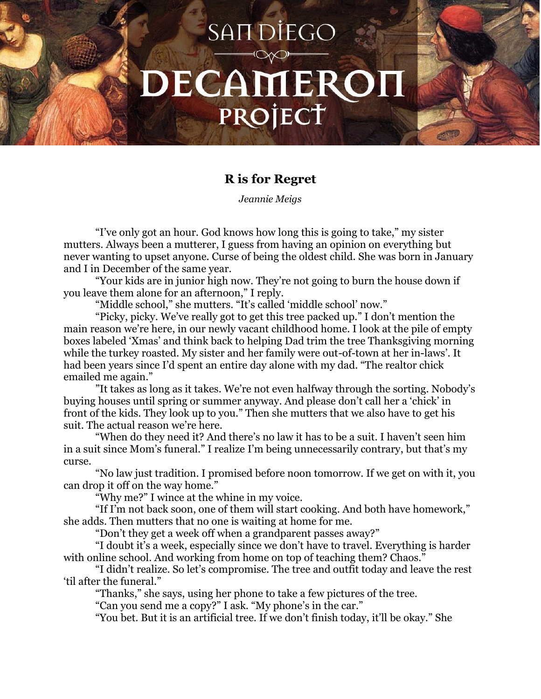## SAIT DIEGO DECAMEROI PROJECT

## **R is for Regret**

*Jeannie Meigs*

"I've only got an hour. God knows how long this is going to take," my sister mutters. Always been a mutterer, I guess from having an opinion on everything but never wanting to upset anyone. Curse of being the oldest child. She was born in January and I in December of the same year.

 "Your kids are in junior high now. They're not going to burn the house down if you leave them alone for an afternoon," I reply.

"Middle school," she mutters. "It's called 'middle school' now."

 "Picky, picky. We've really got to get this tree packed up." I don't mention the main reason we're here, in our newly vacant childhood home. I look at the pile of empty boxes labeled 'Xmas' and think back to helping Dad trim the tree Thanksgiving morning while the turkey roasted. My sister and her family were out-of-town at her in-laws'. It had been years since I'd spent an entire day alone with my dad. "The realtor chick emailed me again."

 "It takes as long as it takes. We're not even halfway through the sorting. Nobody's buying houses until spring or summer anyway. And please don't call her a 'chick' in front of the kids. They look up to you." Then she mutters that we also have to get his suit. The actual reason we're here.

 "When do they need it? And there's no law it has to be a suit. I haven't seen him in a suit since Mom's funeral." I realize I'm being unnecessarily contrary, but that's my curse.

 "No law just tradition. I promised before noon tomorrow. If we get on with it, you can drop it off on the way home."

"Why me?" I wince at the whine in my voice.

 "If I'm not back soon, one of them will start cooking. And both have homework," she adds. Then mutters that no one is waiting at home for me.

"Don't they get a week off when a grandparent passes away?"

 "I doubt it's a week, especially since we don't have to travel. Everything is harder with online school. And working from home on top of teaching them? Chaos."

 "I didn't realize. So let's compromise. The tree and outfit today and leave the rest 'til after the funeral."

"Thanks," she says, using her phone to take a few pictures of the tree.

"Can you send me a copy?" I ask. "My phone's in the car."

"You bet. But it is an artificial tree. If we don't finish today, it'll be okay." She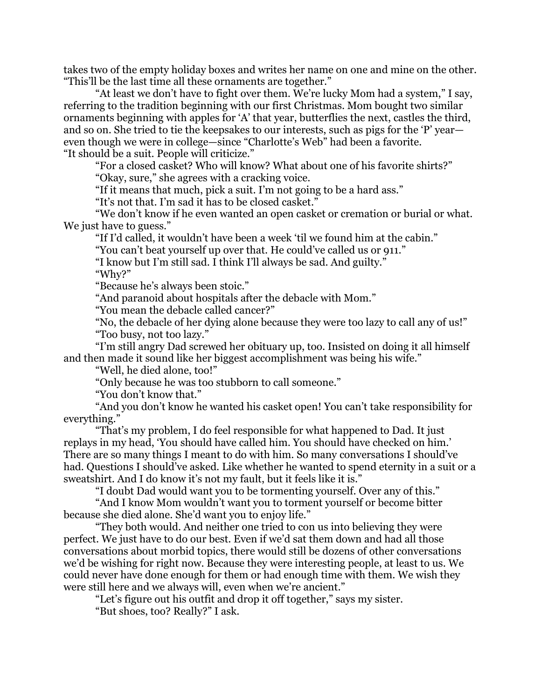takes two of the empty holiday boxes and writes her name on one and mine on the other. "This'll be the last time all these ornaments are together."

 "At least we don't have to fight over them. We're lucky Mom had a system," I say, referring to the tradition beginning with our first Christmas. Mom bought two similar ornaments beginning with apples for 'A' that year, butterflies the next, castles the third, and so on. She tried to tie the keepsakes to our interests, such as pigs for the 'P' year even though we were in college—since "Charlotte's Web" had been a favorite. "It should be a suit. People will criticize."

 "For a closed casket? Who will know? What about one of his favorite shirts?" "Okay, sure," she agrees with a cracking voice.

"If it means that much, pick a suit. I'm not going to be a hard ass."

"It's not that. I'm sad it has to be closed casket."

 "We don't know if he even wanted an open casket or cremation or burial or what. We just have to guess."

"If I'd called, it wouldn't have been a week 'til we found him at the cabin."

"You can't beat yourself up over that. He could've called us or 911."

"I know but I'm still sad. I think I'll always be sad. And guilty."

"Why?"

"Because he's always been stoic."

"And paranoid about hospitals after the debacle with Mom."

"You mean the debacle called cancer?"

 "No, the debacle of her dying alone because they were too lazy to call any of us!" "Too busy, not too lazy."

 "I'm still angry Dad screwed her obituary up, too. Insisted on doing it all himself and then made it sound like her biggest accomplishment was being his wife."

"Well, he died alone, too!"

"Only because he was too stubborn to call someone."

"You don't know that."

 "And you don't know he wanted his casket open! You can't take responsibility for everything."

 "That's my problem, I do feel responsible for what happened to Dad. It just replays in my head, 'You should have called him. You should have checked on him.' There are so many things I meant to do with him. So many conversations I should've had. Questions I should've asked. Like whether he wanted to spend eternity in a suit or a sweatshirt. And I do know it's not my fault, but it feels like it is."

"I doubt Dad would want you to be tormenting yourself. Over any of this."

 "And I know Mom wouldn't want you to torment yourself or become bitter because she died alone. She'd want you to enjoy life."

 "They both would. And neither one tried to con us into believing they were perfect. We just have to do our best. Even if we'd sat them down and had all those conversations about morbid topics, there would still be dozens of other conversations we'd be wishing for right now. Because they were interesting people, at least to us. We could never have done enough for them or had enough time with them. We wish they were still here and we always will, even when we're ancient."

"Let's figure out his outfit and drop it off together," says my sister.

"But shoes, too? Really?" I ask.